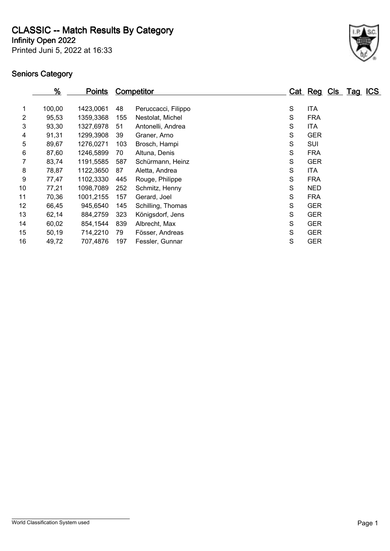**CLASSIC -- Match Results By Category**

**Infinity Open 2022**

Printed Juni 5, 2022 at 16:33



|                 | <u>%</u> | <u>Points</u> |     | <b>Competitor</b>   |   | Cat Reg Cls Tag ICS |  |  |
|-----------------|----------|---------------|-----|---------------------|---|---------------------|--|--|
| 1               | 100,00   | 1423,0061     | 48  | Peruccacci, Filippo | S | <b>ITA</b>          |  |  |
| $\overline{2}$  | 95,53    | 1359,3368     | 155 | Nestolat, Michel    | S | <b>FRA</b>          |  |  |
| 3               | 93,30    | 1327,6978     | 51  | Antonelli, Andrea   | S | <b>ITA</b>          |  |  |
| 4               | 91,31    | 1299,3908     | 39  | Graner, Arno        | S | <b>GER</b>          |  |  |
| 5               | 89,67    | 1276,0271     | 103 | Brosch, Hampi       | S | SUI                 |  |  |
| 6               | 87,60    | 1246,5899     | 70  | Altuna, Denis       | S | <b>FRA</b>          |  |  |
| 7               | 83,74    | 1191,5585     | 587 | Schürmann, Heinz    | S | <b>GER</b>          |  |  |
| 8               | 78,87    | 1122,3650     | 87  | Aletta, Andrea      | S | <b>ITA</b>          |  |  |
| 9               | 77,47    | 1102,3330     | 445 | Rouge, Philippe     | S | <b>FRA</b>          |  |  |
| 10              | 77,21    | 1098,7089     | 252 | Schmitz, Henny      | S | <b>NED</b>          |  |  |
| 11              | 70,36    | 1001,2155     | 157 | Gerard, Joel        | S | <b>FRA</b>          |  |  |
| 12 <sub>2</sub> | 66,45    | 945,6540      | 145 | Schilling, Thomas   | S | <b>GER</b>          |  |  |
| 13              | 62,14    | 884,2759      | 323 | Königsdorf, Jens    | S | <b>GER</b>          |  |  |
| 14              | 60,02    | 854,1544      | 839 | Albrecht, Max       | S | <b>GER</b>          |  |  |
| 15              | 50,19    | 714,2210      | 79  | Fösser, Andreas     | S | <b>GER</b>          |  |  |
| 16              | 49,72    | 707,4876      | 197 | Fessler, Gunnar     | S | <b>GER</b>          |  |  |
|                 |          |               |     |                     |   |                     |  |  |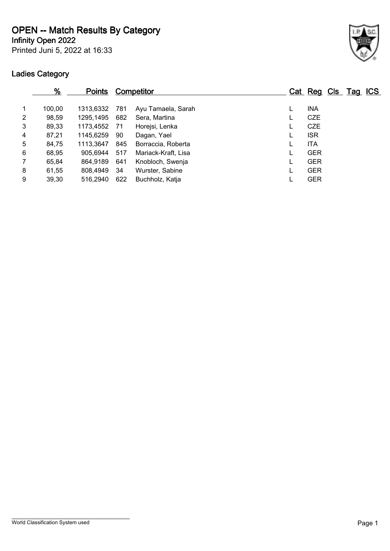**OPEN -- Match Results By Category**

**Infinity Open 2022**

Printed Juni 5, 2022 at 16:33



|   | $\frac{9}{6}$ | <b>Points</b> |     | <b>Competitor</b>   |  |            | Cat Reg Cls Tag ICS |  |
|---|---------------|---------------|-----|---------------------|--|------------|---------------------|--|
|   | 100,00        | 1313,6332 781 |     | Ayu Tamaela, Sarah  |  | <b>INA</b> |                     |  |
| 2 | 98,59         | 1295.1495     | 682 | Sera, Martina       |  | <b>CZE</b> |                     |  |
| 3 | 89,33         | 1173,4552 71  |     | Horejsi, Lenka      |  | <b>CZE</b> |                     |  |
| 4 | 87,21         | 1145.6259     | 90  | Dagan, Yael         |  | <b>ISR</b> |                     |  |
| 5 | 84,75         | 1113,3647     | 845 | Borraccia, Roberta  |  | <b>ITA</b> |                     |  |
| 6 | 68,95         | 905,6944      | 517 | Mariack-Kraft, Lisa |  | <b>GER</b> |                     |  |
| 7 | 65,84         | 864,9189      | 641 | Knobloch, Swenja    |  | <b>GER</b> |                     |  |
| 8 | 61,55         | 808,4949      | 34  | Wurster, Sabine     |  | <b>GER</b> |                     |  |
| 9 | 39,30         | 516,2940      | 622 | Buchholz, Katja     |  | <b>GER</b> |                     |  |
|   |               |               |     |                     |  |            |                     |  |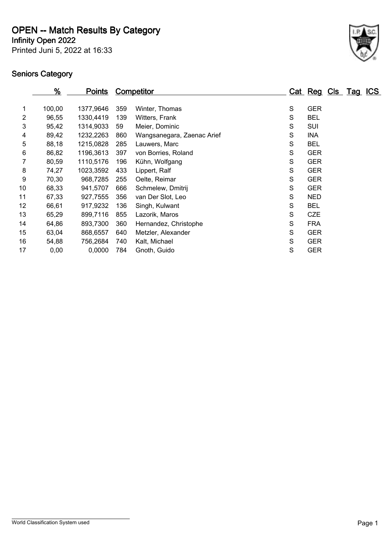**OPEN -- Match Results By Category**

Printed Juni 5, 2022 at 16:33 **Infinity Open 2022**



|    | <u>%</u> | <b>Points</b> |     | <b>Competitor</b>          |   | Cat Reg Cls Tag ICS |  |
|----|----------|---------------|-----|----------------------------|---|---------------------|--|
|    |          |               |     |                            |   |                     |  |
| 1  | 100,00   | 1377,9646     | 359 | Winter, Thomas             | S | <b>GER</b>          |  |
| 2  | 96,55    | 1330,4419     | 139 | Witters, Frank             | S | <b>BEL</b>          |  |
| 3  | 95,42    | 1314,9033     | 59  | Meier, Dominic             | S | SUI                 |  |
| 4  | 89,42    | 1232,2263     | 860 | Wangsanegara, Zaenac Arief | S | <b>INA</b>          |  |
| 5  | 88,18    | 1215,0828     | 285 | Lauwers, Marc              | S | <b>BEL</b>          |  |
| 6  | 86,82    | 1196,3613     | 397 | von Borries, Roland        | S | <b>GER</b>          |  |
|    | 80,59    | 1110,5176     | 196 | Kühn, Wolfgang             | S | <b>GER</b>          |  |
| 8  | 74,27    | 1023,3592     | 433 | Lippert, Ralf              | S | <b>GER</b>          |  |
| 9  | 70,30    | 968,7285      | 255 | Oelte, Reimar              | S | <b>GER</b>          |  |
| 10 | 68,33    | 941,5707      | 666 | Schmelew, Dmitrij          | S | <b>GER</b>          |  |
| 11 | 67,33    | 927,7555      | 356 | van Der Slot, Leo          | S | <b>NED</b>          |  |
| 12 | 66,61    | 917,9232      | 136 | Singh, Kulwant             | S | <b>BEL</b>          |  |
| 13 | 65,29    | 899,7116      | 855 | Lazorik, Maros             | S | <b>CZE</b>          |  |
| 14 | 64,86    | 893,7300      | 360 | Hernandez, Christophe      | S | <b>FRA</b>          |  |
| 15 | 63,04    | 868,6557      | 640 | Metzler, Alexander         | S | <b>GER</b>          |  |
| 16 | 54,88    | 756,2684      | 740 | Kalt, Michael              | S | <b>GER</b>          |  |
| 17 | 0,00     | 0,0000        | 784 | Gnoth, Guido               | S | <b>GER</b>          |  |
|    |          |               |     |                            |   |                     |  |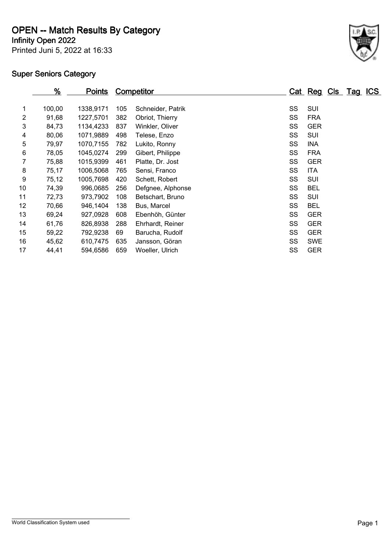**OPEN -- Match Results By Category**

**Infinity Open 2022**

Printed Juni 5, 2022 at 16:33



|                | <u>%</u> | <u>Points</u> |     | <b>Competitor</b> |    |            | Cat Reg Cls Tag ICS |  |  |
|----------------|----------|---------------|-----|-------------------|----|------------|---------------------|--|--|
|                |          |               |     |                   |    |            |                     |  |  |
| 1              | 100,00   | 1338,9171     | 105 | Schneider, Patrik | SS | SUI        |                     |  |  |
| $\overline{2}$ | 91,68    | 1227,5701     | 382 | Obriot, Thierry   | SS | <b>FRA</b> |                     |  |  |
| 3              | 84,73    | 1134,4233     | 837 | Winkler, Oliver   | SS | <b>GER</b> |                     |  |  |
| 4              | 80,06    | 1071,9889     | 498 | Telese, Enzo      | SS | SUI        |                     |  |  |
| 5              | 79,97    | 1070,7155     | 782 | Lukito, Ronny     | SS | <b>INA</b> |                     |  |  |
| 6              | 78,05    | 1045,0274     | 299 | Gibert, Philippe  | SS | <b>FRA</b> |                     |  |  |
| 7              | 75,88    | 1015,9399     | 461 | Platte, Dr. Jost  | SS | <b>GER</b> |                     |  |  |
| 8              | 75,17    | 1006,5068     | 765 | Sensi, Franco     | SS | <b>ITA</b> |                     |  |  |
| 9              | 75,12    | 1005,7698     | 420 | Schett, Robert    | SS | SUI        |                     |  |  |
| 10             | 74,39    | 996,0685      | 256 | Defgnee, Alphonse | SS | <b>BEL</b> |                     |  |  |
| 11             | 72,73    | 973,7902      | 108 | Betschart, Bruno  | SS | SUI        |                     |  |  |
| 12             | 70,66    | 946,1404      | 138 | Bus, Marcel       | SS | <b>BEL</b> |                     |  |  |
| 13             | 69,24    | 927,0928      | 608 | Ebenhöh, Günter   | SS | <b>GER</b> |                     |  |  |
| 14             | 61,76    | 826,8938      | 288 | Ehrhardt, Reiner  | SS | <b>GER</b> |                     |  |  |
| 15             | 59,22    | 792,9238      | 69  | Barucha, Rudolf   | SS | <b>GER</b> |                     |  |  |
| 16             | 45,62    | 610,7475      | 635 | Jansson, Göran    | SS | <b>SWE</b> |                     |  |  |
| 17             | 44,41    | 594,6586      | 659 | Woeller, Ulrich   | SS | <b>GER</b> |                     |  |  |
|                |          |               |     |                   |    |            |                     |  |  |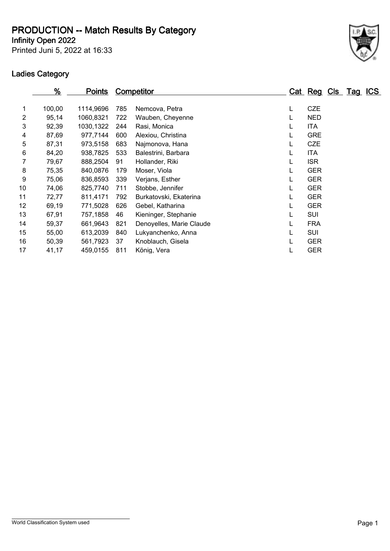**Infinity Open 2022 PRODUCTION -- Match Results By Category**

Printed Juni 5, 2022 at 16:33



|    | $\frac{9}{6}$ | <u>Points</u> |     | <b>Competitor</b>        |   | Cat Reg Cls Tag |  | <u>ICS</u> |
|----|---------------|---------------|-----|--------------------------|---|-----------------|--|------------|
| 1  | 100,00        | 1114,9696     | 785 | Nemcova, Petra           | L | <b>CZE</b>      |  |            |
| 2  | 95,14         | 1060,8321     | 722 | Wauben, Cheyenne         | L | <b>NED</b>      |  |            |
| 3  | 92,39         | 1030,1322     | 244 | Rasi, Monica             | L | <b>ITA</b>      |  |            |
| 4  | 87,69         | 977,7144      | 600 | Alexiou, Christina       | L | <b>GRE</b>      |  |            |
| 5  | 87,31         | 973,5158      | 683 | Najmonova, Hana          | L | <b>CZE</b>      |  |            |
| 6  | 84,20         | 938,7825      | 533 | Balestrini, Barbara      | L | <b>ITA</b>      |  |            |
| 7  | 79,67         | 888,2504      | 91  | Hollander, Riki          | L | <b>ISR</b>      |  |            |
| 8  | 75,35         | 840,0876      | 179 | Moser, Viola             | L | <b>GER</b>      |  |            |
| 9  | 75,06         | 836,8593      | 339 | Verjans, Esther          | L | <b>GER</b>      |  |            |
| 10 | 74,06         | 825,7740      | 711 | Stobbe, Jennifer         | L | <b>GER</b>      |  |            |
| 11 | 72,77         | 811,4171      | 792 | Burkatovski, Ekaterina   | L | <b>GER</b>      |  |            |
| 12 | 69,19         | 771,5028      | 626 | Gebel, Katharina         | L | <b>GER</b>      |  |            |
| 13 | 67,91         | 757,1858      | 46  | Kieninger, Stephanie     | L | <b>SUI</b>      |  |            |
| 14 | 59,37         | 661,9643      | 821 | Denoyelles, Marie Claude | L | <b>FRA</b>      |  |            |
| 15 | 55,00         | 613,2039      | 840 | Lukyanchenko, Anna       |   | <b>SUI</b>      |  |            |
| 16 | 50,39         | 561,7923      | 37  | Knoblauch, Gisela        |   | <b>GER</b>      |  |            |
| 17 | 41,17         | 459,0155      | 811 | König, Vera              | L | <b>GER</b>      |  |            |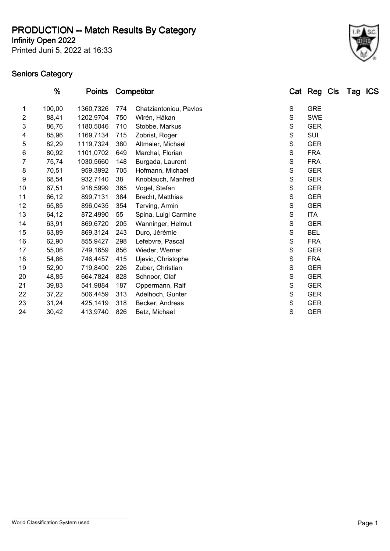**Infinity Open 2022 PRODUCTION -- Match Results By Category**

Printed Juni 5, 2022 at 16:33



|                | %      | <b>Points</b> |     | <b>Competitor</b>      |               | Cat Reg Cls Tag ICS |  |  |
|----------------|--------|---------------|-----|------------------------|---------------|---------------------|--|--|
|                |        |               |     |                        |               |                     |  |  |
| 1              | 100,00 | 1360,7326     | 774 | Chatziantoniou, Pavlos | ${\mathsf S}$ | <b>GRE</b>          |  |  |
| $\overline{2}$ | 88,41  | 1202,9704     | 750 | Wirén, Håkan           | $\mathbf S$   | <b>SWE</b>          |  |  |
| 3              | 86,76  | 1180,5046     | 710 | Stobbe, Markus         | $\mathsf S$   | <b>GER</b>          |  |  |
| 4              | 85,96  | 1169,7134     | 715 | Zobrist, Roger         | S             | SUI                 |  |  |
| 5              | 82,29  | 1119,7324     | 380 | Altmaier, Michael      | S             | <b>GER</b>          |  |  |
| 6              | 80,92  | 1101,0702     | 649 | Marchal, Florian       | S             | <b>FRA</b>          |  |  |
| 7              | 75,74  | 1030,5660     | 148 | Burgada, Laurent       | S             | <b>FRA</b>          |  |  |
| 8              | 70,51  | 959,3992      | 705 | Hofmann, Michael       | S             | <b>GER</b>          |  |  |
| 9              | 68,54  | 932,7140      | 38  | Knoblauch, Manfred     | $\mathbf S$   | <b>GER</b>          |  |  |
| 10             | 67,51  | 918,5999      | 365 | Vogel, Stefan          | $\mathbf S$   | <b>GER</b>          |  |  |
| 11             | 66,12  | 899,7131      | 384 | Brecht, Matthias       | $\mathbf S$   | <b>GER</b>          |  |  |
| 12             | 65,85  | 896,0435      | 354 | Terving, Armin         | S             | <b>GER</b>          |  |  |
| 13             | 64,12  | 872,4990      | 55  | Spina, Luigi Carmine   | S             | <b>ITA</b>          |  |  |
| 14             | 63,91  | 869,6720      | 205 | Wanninger, Helmut      | S             | <b>GER</b>          |  |  |
| 15             | 63,89  | 869,3124      | 243 | Duro, Jérémie          | S             | <b>BEL</b>          |  |  |
| 16             | 62,90  | 855,9427      | 298 | Lefebvre, Pascal       | S             | <b>FRA</b>          |  |  |
| 17             | 55,06  | 749,1659      | 856 | Wieder, Werner         | S             | <b>GER</b>          |  |  |
| 18             | 54,86  | 746,4457      | 415 | Ujevic, Christophe     | $\mathbf S$   | <b>FRA</b>          |  |  |
| 19             | 52,90  | 719,8400      | 226 | Zuber, Christian       | $\mathbf S$   | <b>GER</b>          |  |  |
| 20             | 48,85  | 664,7824      | 828 | Schnoor, Olaf          | S             | <b>GER</b>          |  |  |
| 21             | 39,83  | 541,9884      | 187 | Oppermann, Ralf        | S             | <b>GER</b>          |  |  |
| 22             | 37,22  | 506,4459      | 313 | Adelhoch, Gunter       | S             | <b>GER</b>          |  |  |
| 23             | 31,24  | 425,1419      | 318 | Becker, Andreas        | S             | <b>GER</b>          |  |  |
| 24             | 30,42  | 413,9740      | 826 | Betz, Michael          | S             | <b>GER</b>          |  |  |
|                |        |               |     |                        |               |                     |  |  |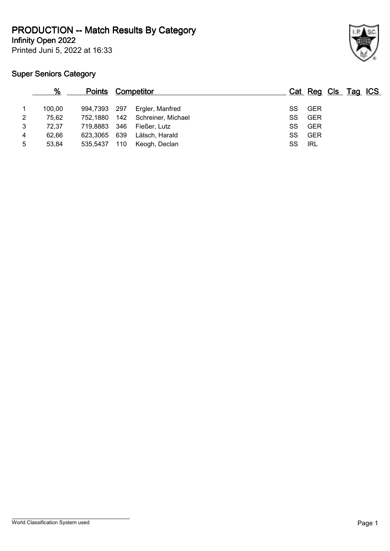**Infinity Open 2022 PRODUCTION -- Match Results By Category**

Printed Juni 5, 2022 at 16:33

|   | %      | <b>Points Competitor</b> |     |                        |     | Cat Reg Cls Tag ICS |  |  |
|---|--------|--------------------------|-----|------------------------|-----|---------------------|--|--|
|   | 100.00 | 994,7393 297             |     | Ergler, Manfred        | SS. | <b>GER</b>          |  |  |
| 2 | 75,62  | 752.1880                 |     | 142 Schreiner, Michael | SS  | <b>GER</b>          |  |  |
| 3 | 72,37  | 719.8883                 | 346 | Fießer, Lutz           | SS  | GER                 |  |  |
| 4 | 62.66  | 623.3065                 | 639 | Lätsch, Harald         | SS  | <b>GER</b>          |  |  |
| 5 | 53,84  | 535.5437                 | 110 | Keogh, Declan          | SS  | IRL                 |  |  |
|   |        |                          |     |                        |     |                     |  |  |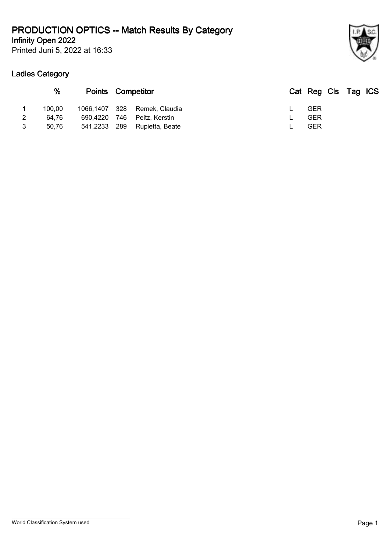## **Infinity Open 2022 PRODUCTION OPTICS -- Match Results By Category**

Printed Juni 5, 2022 at 16:33



|   | %      | <b>Points Competitor</b> |     |                              | Cat Reg Cls Tag ICS |  |  |
|---|--------|--------------------------|-----|------------------------------|---------------------|--|--|
|   | 100.00 |                          |     | 1066,1407 328 Remek, Claudia | <b>GER</b>          |  |  |
|   | 64.76  | 690.4220                 | 746 | Peitz, Kerstin               | <b>GER</b>          |  |  |
| 3 | 50.76  | 541,2233 289             |     | Rupietta. Beate              | GER                 |  |  |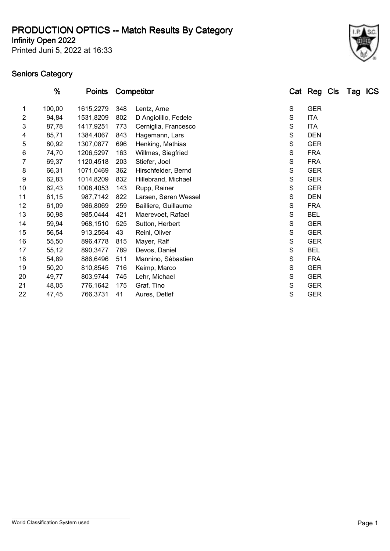## **Infinity Open 2022 PRODUCTION OPTICS -- Match Results By Category**

Printed Juni 5, 2022 at 16:33



|    | %      | <u>Points</u> |     | <b>Competitor</b>    |   | Cat Reg Cls Tag ICS |  |  |
|----|--------|---------------|-----|----------------------|---|---------------------|--|--|
|    |        |               |     |                      |   |                     |  |  |
| 1  | 100,00 | 1615,2279     | 348 | Lentz, Arne          | S | <b>GER</b>          |  |  |
| 2  | 94,84  | 1531,8209     | 802 | D Angiolillo, Fedele | S | <b>ITA</b>          |  |  |
| 3  | 87,78  | 1417,9251     | 773 | Cerniglia, Francesco | S | <b>ITA</b>          |  |  |
| 4  | 85,71  | 1384,4067     | 843 | Hagemann, Lars       | S | <b>DEN</b>          |  |  |
| 5  | 80,92  | 1307,0877     | 696 | Henking, Mathias     | S | <b>GER</b>          |  |  |
| 6  | 74,70  | 1206,5297     | 163 | Willmes, Siegfried   | S | <b>FRA</b>          |  |  |
| 7  | 69,37  | 1120,4518     | 203 | Stiefer, Joel        | S | <b>FRA</b>          |  |  |
| 8  | 66,31  | 1071,0469     | 362 | Hirschfelder, Bernd  | S | <b>GER</b>          |  |  |
| 9  | 62,83  | 1014,8209     | 832 | Hillebrand, Michael  | S | <b>GER</b>          |  |  |
| 10 | 62,43  | 1008,4053     | 143 | Rupp, Rainer         | S | <b>GER</b>          |  |  |
| 11 | 61,15  | 987,7142      | 822 | Larsen, Søren Wessel | S | <b>DEN</b>          |  |  |
| 12 | 61,09  | 986,8069      | 259 | Bailliere, Guillaume | S | <b>FRA</b>          |  |  |
| 13 | 60,98  | 985,0444      | 421 | Maerevoet, Rafael    | S | <b>BEL</b>          |  |  |
| 14 | 59,94  | 968,1510      | 525 | Sutton, Herbert      | S | <b>GER</b>          |  |  |
| 15 | 56,54  | 913,2564      | 43  | Reinl, Oliver        | S | <b>GER</b>          |  |  |
| 16 | 55,50  | 896,4778      | 815 | Mayer, Ralf          | S | <b>GER</b>          |  |  |
| 17 | 55,12  | 890,3477      | 789 | Devos, Daniel        | S | <b>BEL</b>          |  |  |
| 18 | 54,89  | 886,6496      | 511 | Mannino, Sébastien   | S | <b>FRA</b>          |  |  |
| 19 | 50,20  | 810,8545      | 716 | Keimp, Marco         | S | <b>GER</b>          |  |  |
| 20 | 49,77  | 803,9744      | 745 | Lehr, Michael        | S | <b>GER</b>          |  |  |
| 21 | 48,05  | 776,1642      | 175 | Graf, Tino           | S | <b>GER</b>          |  |  |
| 22 | 47,45  | 766,3731      | 41  | Aures, Detlef        | S | <b>GER</b>          |  |  |
|    |        |               |     |                      |   |                     |  |  |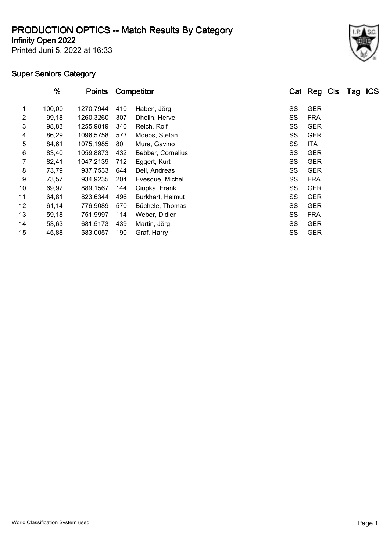## **PRODUCTION OPTICS -- Match Results By Category**

**Infinity Open 2022**

Printed Juni 5, 2022 at 16:33



|                | $\frac{9}{6}$ | <b>Points</b> |     | Competitor        |    | Cat Reg Cls Tag |  | <u>ICS</u> |
|----------------|---------------|---------------|-----|-------------------|----|-----------------|--|------------|
| 1              | 100,00        | 1270,7944     | 410 | Haben, Jörg       | SS | <b>GER</b>      |  |            |
| $\overline{2}$ | 99,18         | 1260,3260     | 307 | Dhelin, Herve     | SS | <b>FRA</b>      |  |            |
| 3              | 98,83         | 1255.9819     | 340 | Reich, Rolf       | SS | <b>GER</b>      |  |            |
| 4              | 86,29         | 1096,5758     | 573 | Moebs, Stefan     | SS | <b>GER</b>      |  |            |
| 5              | 84,61         | 1075,1985     | 80  | Mura, Gavino      | SS | <b>ITA</b>      |  |            |
| 6              | 83,40         | 1059,8873     | 432 | Bebber, Cornelius | SS | <b>GER</b>      |  |            |
|                | 82,41         | 1047,2139     | 712 | Eggert, Kurt      | SS | <b>GER</b>      |  |            |
| 8              | 73,79         | 937,7533      | 644 | Dell, Andreas     | SS | <b>GER</b>      |  |            |
| 9              | 73,57         | 934,9235      | 204 | Evesque, Michel   | SS | <b>FRA</b>      |  |            |
| 10             | 69,97         | 889,1567      | 144 | Ciupka, Frank     | SS | <b>GER</b>      |  |            |
| 11             | 64,81         | 823,6344      | 496 | Burkhart, Helmut  | SS | <b>GER</b>      |  |            |
| 12             | 61,14         | 776,9089      | 570 | Büchele, Thomas   | SS | <b>GER</b>      |  |            |
| 13             | 59,18         | 751,9997      | 114 | Weber, Didier     | SS | <b>FRA</b>      |  |            |
| 14             | 53,63         | 681,5173      | 439 | Martin, Jörg      | SS | <b>GER</b>      |  |            |
| 15             | 45,88         | 583.0057      | 190 | Graf, Harry       | SS | <b>GER</b>      |  |            |
|                |               |               |     |                   |    |                 |  |            |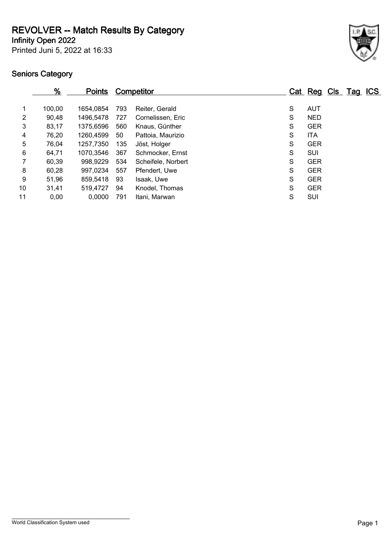**REVOLVER -- Match Results By Category**

**Infinity Open 2022**

Printed Juni 5, 2022 at 16:33

|    | %      | <b>Points</b> |     | <u>Competitor</u>  |   | Cat Reg Cls Tag ICS |  |  |
|----|--------|---------------|-----|--------------------|---|---------------------|--|--|
|    | 100,00 | 1654.0854     | 793 | Reiter, Gerald     | S | <b>AUT</b>          |  |  |
| 2  | 90,48  | 1496,5478     | 727 | Cornelissen, Eric  | S | <b>NED</b>          |  |  |
| 3  | 83,17  | 1375,6596     | 560 | Knaus, Günther     | S | <b>GER</b>          |  |  |
| 4  | 76,20  | 1260,4599     | 50  | Pattoia, Maurizio  | S | ITA                 |  |  |
| 5  | 76,04  | 1257,7350     | 135 | Jöst, Holger       | S | <b>GER</b>          |  |  |
| 6  | 64,71  | 1070,3546     | 367 | Schmocker, Ernst   | S | SUI                 |  |  |
|    | 60,39  | 998,9229      | 534 | Scheifele, Norbert | S | <b>GER</b>          |  |  |
| 8  | 60,28  | 997,0234      | 557 | Pfendert, Uwe      | S | <b>GER</b>          |  |  |
| 9  | 51,96  | 859,5418      | 93  | Isaak, Uwe         | S | <b>GER</b>          |  |  |
| 10 | 31,41  | 519,4727      | 94  | Knodel, Thomas     | S | <b>GER</b>          |  |  |
| 11 | 0,00   | 0,0000        | 791 | Itani, Marwan      | S | <b>SUI</b>          |  |  |
|    |        |               |     |                    |   |                     |  |  |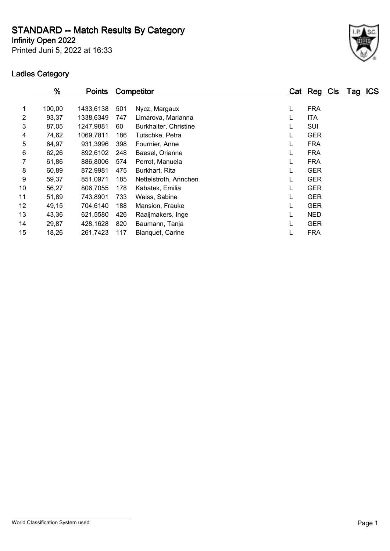**STANDARD -- Match Results By Category**

**Infinity Open 2022**

Printed Juni 5, 2022 at 16:33

|                 | %      | <b>Points</b> |     | <b>Competitor</b>     |   |            | Cat Reg Cls Tag ICS |  |
|-----------------|--------|---------------|-----|-----------------------|---|------------|---------------------|--|
| 1               | 100,00 | 1433,6138     | 501 | Nycz, Margaux         | L | <b>FRA</b> |                     |  |
| $\overline{2}$  | 93,37  | 1338.6349     | 747 | Limarova, Marianna    | L | <b>ITA</b> |                     |  |
| 3               | 87,05  | 1247,9881     | 60  | Burkhalter, Christine | L | <b>SUI</b> |                     |  |
| 4               | 74,62  | 1069,7811     | 186 | Tutschke, Petra       | L | <b>GER</b> |                     |  |
| 5               | 64,97  | 931,3996      | 398 | Fournier, Anne        |   | <b>FRA</b> |                     |  |
| 6               | 62,26  | 892,6102      | 248 | Baesel, Orianne       | L | <b>FRA</b> |                     |  |
| 7               | 61,86  | 886,8006      | 574 | Perrot, Manuela       | L | <b>FRA</b> |                     |  |
| 8               | 60,89  | 872,9981      | 475 | Burkhart, Rita        | L | <b>GER</b> |                     |  |
| 9               | 59,37  | 851.0971      | 185 | Nettelstroth, Annchen | L | <b>GER</b> |                     |  |
| 10              | 56,27  | 806,7055      | 178 | Kabatek, Emilia       |   | <b>GER</b> |                     |  |
| 11              | 51,89  | 743,8901      | 733 | Weiss, Sabine         |   | <b>GER</b> |                     |  |
| 12 <sub>2</sub> | 49,15  | 704.6140      | 188 | Mansion, Frauke       | L | <b>GER</b> |                     |  |
| 13              | 43,36  | 621,5580      | 426 | Raaijmakers, Inge     | L | <b>NED</b> |                     |  |
| 14              | 29,87  | 428.1628      | 820 | Baumann, Tanja        | L | <b>GER</b> |                     |  |
| 15              | 18,26  | 261,7423      | 117 | Blanguet, Carine      | L | <b>FRA</b> |                     |  |
|                 |        |               |     |                       |   |            |                     |  |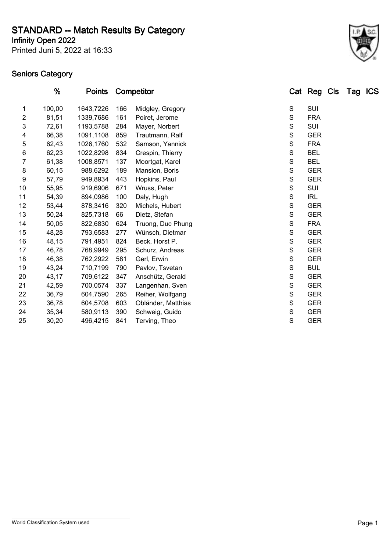**STANDARD -- Match Results By Category**

**Infinity Open 2022**

Printed Juni 5, 2022 at 16:33



|    | %      | <b>Points</b> |     | <b>Competitor</b>  |               | Cat Reg Cls Tag ICS |  |  |
|----|--------|---------------|-----|--------------------|---------------|---------------------|--|--|
|    |        |               |     |                    |               |                     |  |  |
| 1  | 100,00 | 1643,7226     | 166 | Midgley, Gregory   | ${\mathsf S}$ | SUI                 |  |  |
| 2  | 81,51  | 1339,7686     | 161 | Poiret, Jerome     | S             | <b>FRA</b>          |  |  |
| 3  | 72,61  | 1193,5788     | 284 | Mayer, Norbert     | S             | SUI                 |  |  |
| 4  | 66,38  | 1091,1108     | 859 | Trautmann, Ralf    | S             | <b>GER</b>          |  |  |
| 5  | 62,43  | 1026,1760     | 532 | Samson, Yannick    | $\mathbf S$   | <b>FRA</b>          |  |  |
| 6  | 62,23  | 1022,8298     | 834 | Crespin, Thierry   | $\mathbf S$   | <b>BEL</b>          |  |  |
| 7  | 61,38  | 1008,8571     | 137 | Moortgat, Karel    | S             | <b>BEL</b>          |  |  |
| 8  | 60,15  | 988,6292      | 189 | Mansion, Boris     | S             | <b>GER</b>          |  |  |
| 9  | 57,79  | 949,8934      | 443 | Hopkins, Paul      | $\mathsf S$   | <b>GER</b>          |  |  |
| 10 | 55,95  | 919,6906      | 671 | Wruss, Peter       | S             | SUI                 |  |  |
| 11 | 54,39  | 894,0986      | 100 | Daly, Hugh         | $\mathsf S$   | <b>IRL</b>          |  |  |
| 12 | 53,44  | 878,3416      | 320 | Michels, Hubert    | S             | <b>GER</b>          |  |  |
| 13 | 50,24  | 825,7318      | 66  | Dietz, Stefan      | S             | <b>GER</b>          |  |  |
| 14 | 50,05  | 822,6830      | 624 | Truong, Duc Phung  | $\mathbf S$   | <b>FRA</b>          |  |  |
| 15 | 48,28  | 793,6583      | 277 | Wünsch, Dietmar    | S             | <b>GER</b>          |  |  |
| 16 | 48,15  | 791,4951      | 824 | Beck, Horst P.     | $\mathbf S$   | <b>GER</b>          |  |  |
| 17 | 46,78  | 768,9949      | 295 | Schurz, Andreas    | S             | <b>GER</b>          |  |  |
| 18 | 46,38  | 762,2922      | 581 | Gerl, Erwin        | $\mathsf S$   | <b>GER</b>          |  |  |
| 19 | 43,24  | 710,7199      | 790 | Pavlov, Tsvetan    | $\mathbf S$   | <b>BUL</b>          |  |  |
| 20 | 43,17  | 709,6122      | 347 | Anschütz, Gerald   | S             | <b>GER</b>          |  |  |
| 21 | 42,59  | 700,0574      | 337 | Langenhan, Sven    | S             | <b>GER</b>          |  |  |
| 22 | 36,79  | 604,7590      | 265 | Reiher, Wolfgang   | S             | <b>GER</b>          |  |  |
| 23 | 36,78  | 604,5708      | 603 | Obländer, Matthias | $\mathbf S$   | <b>GER</b>          |  |  |
| 24 | 35,34  | 580,9113      | 390 | Schweig, Guido     | $\mathbf S$   | <b>GER</b>          |  |  |
| 25 | 30,20  | 496,4215      | 841 | Terving, Theo      | S             | <b>GER</b>          |  |  |
|    |        |               |     |                    |               |                     |  |  |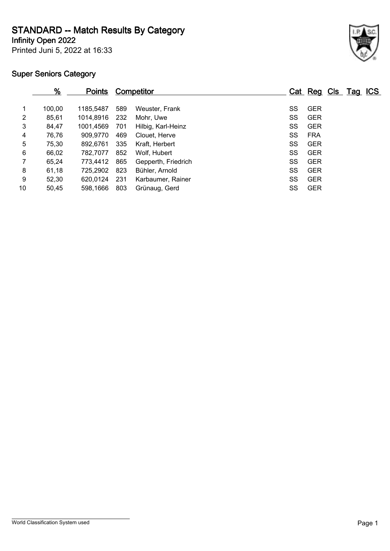**STANDARD -- Match Results By Category**

**Infinity Open 2022**

Printed Juni 5, 2022 at 16:33

|                | %      | <u>Points</u> |     | <b>Competitor</b>   |    | Cat Reg Cls Tag ICS |  |  |
|----------------|--------|---------------|-----|---------------------|----|---------------------|--|--|
| 1              | 100,00 | 1185.5487     | 589 | Weuster, Frank      | SS | <b>GER</b>          |  |  |
| $\overline{2}$ | 85,61  | 1014,8916     | 232 | Mohr, Uwe           | SS | <b>GER</b>          |  |  |
| 3              | 84,47  | 1001,4569     | 701 | Hilbig, Karl-Heinz  | SS | <b>GER</b>          |  |  |
| 4              | 76,76  | 909,9770      | 469 | Clouet, Herve       | SS | <b>FRA</b>          |  |  |
| 5              | 75,30  | 892.6761      | 335 | Kraft, Herbert      | SS | <b>GER</b>          |  |  |
| 6              | 66,02  | 782,7077      | 852 | Wolf. Hubert        | SS | <b>GER</b>          |  |  |
| 7              | 65,24  | 773.4412      | 865 | Gepperth, Friedrich | SS | <b>GER</b>          |  |  |
| 8              | 61,18  | 725.2902      | 823 | Bühler, Arnold      | SS | <b>GER</b>          |  |  |
| 9              | 52,30  | 620.0124      | 231 | Karbaumer, Rainer   | SS | <b>GER</b>          |  |  |
| 10             | 50,45  | 598,1666      | 803 | Grünaug, Gerd       | SS | <b>GER</b>          |  |  |
|                |        |               |     |                     |    |                     |  |  |